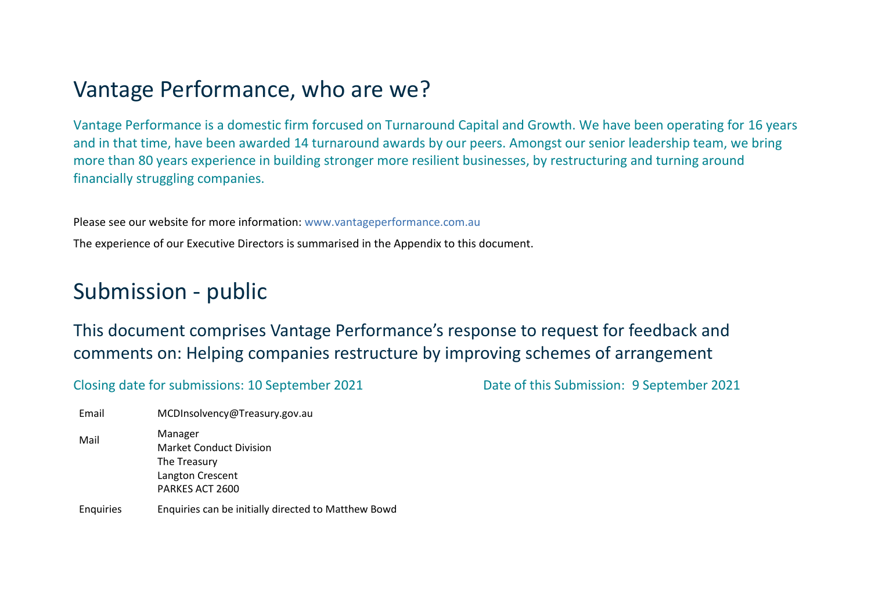# Vantage Performance, who are we?

Vantage Performance is a domestic firm forcused on Turnaround Capital and Growth. We have been operating for 16 years and in that time, have been awarded 14 turnaround awards by our peers. Amongst our senior leadership team, we bring more than 80 years experience in building stronger more resilient businesses, by restructuring and turning around financially struggling companies.

Please see our website for more information: [www.vantageperformance.com.au](http://www.vantageperformance.com.au/)

The experience of our Executive Directors is summarised in the Appendix to this document.

# Submission - public

This document comprises Vantage Performance's response to request for feedback and comments on: Helping companies restructure by improving schemes of arrangement

Closing date for submissions: 10 September 2021 Date of this Submission: 9 September 2021

Email MCDInsolvency@Treasury.gov.au Mail Manager Market Conduct Division The Treasury Langton Crescent PARKES ACT 2600 Enquiries Enquiries can be initially directed to Matthew Bowd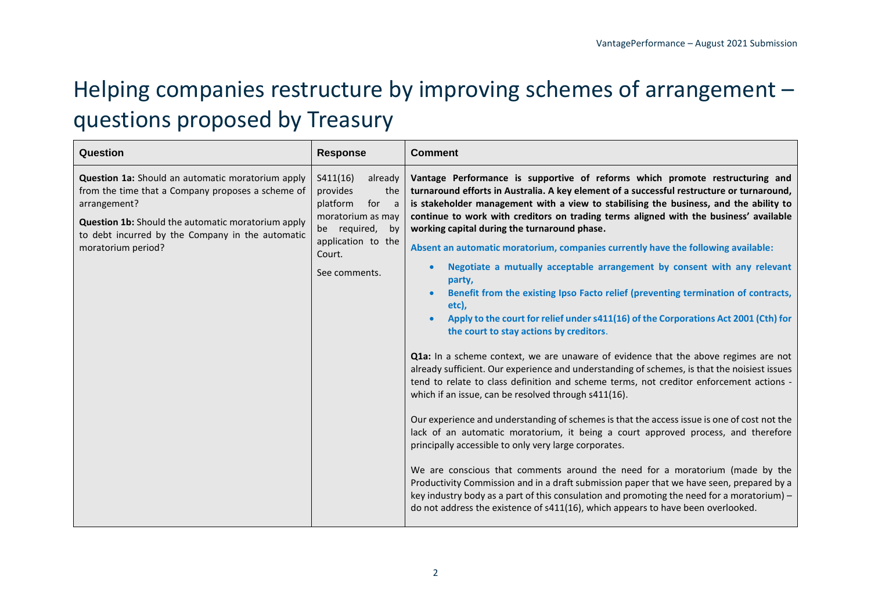# Helping companies restructure by improving schemes of arrangement – questions proposed by Treasury

| Question                                                                                                                                                                                                                                               | <b>Response</b>                                                                                                                                      | <b>Comment</b>                                                                                                                                                                                                                                                                                                                                                                                                                                                                                                                                                                                                                                                                                                                                                                                                                                                                                                                                                                                                                                                                                                                                                                                                                                                                                                                                                                                                                                                                                                                                                                                                                                                                                                                                                                |
|--------------------------------------------------------------------------------------------------------------------------------------------------------------------------------------------------------------------------------------------------------|------------------------------------------------------------------------------------------------------------------------------------------------------|-------------------------------------------------------------------------------------------------------------------------------------------------------------------------------------------------------------------------------------------------------------------------------------------------------------------------------------------------------------------------------------------------------------------------------------------------------------------------------------------------------------------------------------------------------------------------------------------------------------------------------------------------------------------------------------------------------------------------------------------------------------------------------------------------------------------------------------------------------------------------------------------------------------------------------------------------------------------------------------------------------------------------------------------------------------------------------------------------------------------------------------------------------------------------------------------------------------------------------------------------------------------------------------------------------------------------------------------------------------------------------------------------------------------------------------------------------------------------------------------------------------------------------------------------------------------------------------------------------------------------------------------------------------------------------------------------------------------------------------------------------------------------------|
| Question 1a: Should an automatic moratorium apply<br>from the time that a Company proposes a scheme of<br>arrangement?<br>Question 1b: Should the automatic moratorium apply<br>to debt incurred by the Company in the automatic<br>moratorium period? | S411(16)<br>already<br>provides<br>the<br>platform<br>for a<br>moratorium as may<br>be required, by<br>application to the<br>Court.<br>See comments. | Vantage Performance is supportive of reforms which promote restructuring and<br>turnaround efforts in Australia. A key element of a successful restructure or turnaround,<br>is stakeholder management with a view to stabilising the business, and the ability to<br>continue to work with creditors on trading terms aligned with the business' available<br>working capital during the turnaround phase.<br>Absent an automatic moratorium, companies currently have the following available:<br>Negotiate a mutually acceptable arrangement by consent with any relevant<br>party,<br>Benefit from the existing Ipso Facto relief (preventing termination of contracts,<br>etc),<br>Apply to the court for relief under s411(16) of the Corporations Act 2001 (Cth) for<br>the court to stay actions by creditors.<br>Q1a: In a scheme context, we are unaware of evidence that the above regimes are not<br>already sufficient. Our experience and understanding of schemes, is that the noisiest issues<br>tend to relate to class definition and scheme terms, not creditor enforcement actions -<br>which if an issue, can be resolved through s411(16).<br>Our experience and understanding of schemes is that the access issue is one of cost not the<br>lack of an automatic moratorium, it being a court approved process, and therefore<br>principally accessible to only very large corporates.<br>We are conscious that comments around the need for a moratorium (made by the<br>Productivity Commission and in a draft submission paper that we have seen, prepared by a<br>key industry body as a part of this consulation and promoting the need for a moratorium) $-$<br>do not address the existence of s411(16), which appears to have been overlooked. |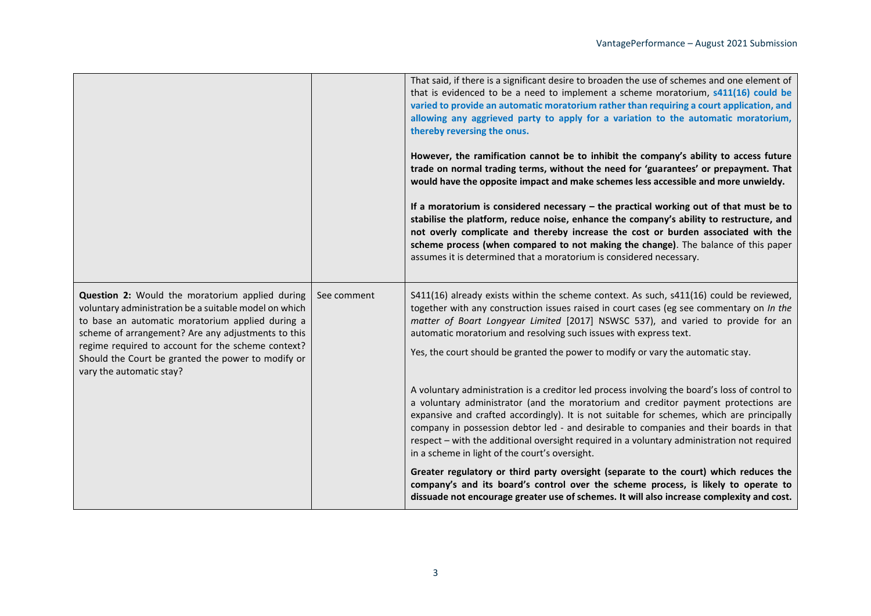|                                                                                                                                                                                                                    |             | That said, if there is a significant desire to broaden the use of schemes and one element of<br>that is evidenced to be a need to implement a scheme moratorium, s411(16) could be<br>varied to provide an automatic moratorium rather than requiring a court application, and<br>allowing any aggrieved party to apply for a variation to the automatic moratorium,<br>thereby reversing the onus.<br>However, the ramification cannot be to inhibit the company's ability to access future<br>trade on normal trading terms, without the need for 'guarantees' or prepayment. That<br>would have the opposite impact and make schemes less accessible and more unwieldy.<br>If a moratorium is considered necessary $-$ the practical working out of that must be to<br>stabilise the platform, reduce noise, enhance the company's ability to restructure, and<br>not overly complicate and thereby increase the cost or burden associated with the<br>scheme process (when compared to not making the change). The balance of this paper<br>assumes it is determined that a moratorium is considered necessary. |
|--------------------------------------------------------------------------------------------------------------------------------------------------------------------------------------------------------------------|-------------|---------------------------------------------------------------------------------------------------------------------------------------------------------------------------------------------------------------------------------------------------------------------------------------------------------------------------------------------------------------------------------------------------------------------------------------------------------------------------------------------------------------------------------------------------------------------------------------------------------------------------------------------------------------------------------------------------------------------------------------------------------------------------------------------------------------------------------------------------------------------------------------------------------------------------------------------------------------------------------------------------------------------------------------------------------------------------------------------------------------------|
| Question 2: Would the moratorium applied during<br>voluntary administration be a suitable model on which<br>to base an automatic moratorium applied during a<br>scheme of arrangement? Are any adjustments to this | See comment | S411(16) already exists within the scheme context. As such, s411(16) could be reviewed,<br>together with any construction issues raised in court cases (eg see commentary on In the<br>matter of Boart Longyear Limited [2017] NSWSC 537), and varied to provide for an<br>automatic moratorium and resolving such issues with express text.                                                                                                                                                                                                                                                                                                                                                                                                                                                                                                                                                                                                                                                                                                                                                                        |
| regime required to account for the scheme context?<br>Should the Court be granted the power to modify or<br>vary the automatic stay?                                                                               |             | Yes, the court should be granted the power to modify or vary the automatic stay.                                                                                                                                                                                                                                                                                                                                                                                                                                                                                                                                                                                                                                                                                                                                                                                                                                                                                                                                                                                                                                    |
|                                                                                                                                                                                                                    |             | A voluntary administration is a creditor led process involving the board's loss of control to<br>a voluntary administrator (and the moratorium and creditor payment protections are<br>expansive and crafted accordingly). It is not suitable for schemes, which are principally<br>company in possession debtor led - and desirable to companies and their boards in that<br>respect - with the additional oversight required in a voluntary administration not required<br>in a scheme in light of the court's oversight.                                                                                                                                                                                                                                                                                                                                                                                                                                                                                                                                                                                         |
|                                                                                                                                                                                                                    |             | Greater regulatory or third party oversight (separate to the court) which reduces the<br>company's and its board's control over the scheme process, is likely to operate to<br>dissuade not encourage greater use of schemes. It will also increase complexity and cost.                                                                                                                                                                                                                                                                                                                                                                                                                                                                                                                                                                                                                                                                                                                                                                                                                                            |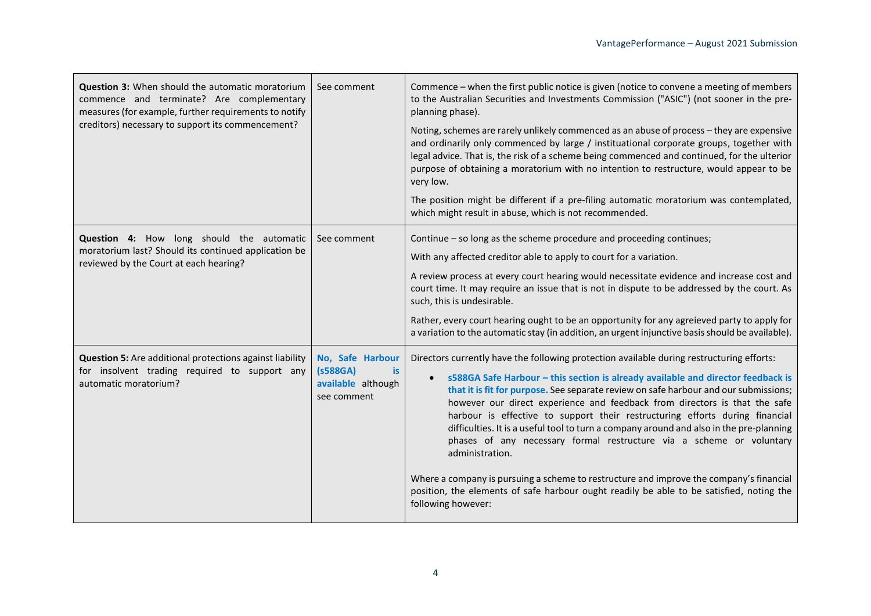| <b>Question 3:</b> When should the automatic moratorium<br>commence and terminate? Are complementary<br>measures (for example, further requirements to notify<br>creditors) necessary to support its commencement? | See comment                                                             | Commence - when the first public notice is given (notice to convene a meeting of members<br>to the Australian Securities and Investments Commission ("ASIC") (not sooner in the pre-<br>planning phase).                                                                                                                                                                                                                                                                                                                                                                                                                                                                                                                                                                                                                                            |
|--------------------------------------------------------------------------------------------------------------------------------------------------------------------------------------------------------------------|-------------------------------------------------------------------------|-----------------------------------------------------------------------------------------------------------------------------------------------------------------------------------------------------------------------------------------------------------------------------------------------------------------------------------------------------------------------------------------------------------------------------------------------------------------------------------------------------------------------------------------------------------------------------------------------------------------------------------------------------------------------------------------------------------------------------------------------------------------------------------------------------------------------------------------------------|
|                                                                                                                                                                                                                    |                                                                         | Noting, schemes are rarely unlikely commenced as an abuse of process - they are expensive<br>and ordinarily only commenced by large / instituational corporate groups, together with<br>legal advice. That is, the risk of a scheme being commenced and continued, for the ulterior<br>purpose of obtaining a moratorium with no intention to restructure, would appear to be<br>very low.                                                                                                                                                                                                                                                                                                                                                                                                                                                          |
|                                                                                                                                                                                                                    |                                                                         | The position might be different if a pre-filing automatic moratorium was contemplated,<br>which might result in abuse, which is not recommended.                                                                                                                                                                                                                                                                                                                                                                                                                                                                                                                                                                                                                                                                                                    |
| Question 4: How long should the automatic<br>moratorium last? Should its continued application be<br>reviewed by the Court at each hearing?                                                                        | See comment                                                             | Continue – so long as the scheme procedure and proceeding continues;<br>With any affected creditor able to apply to court for a variation.<br>A review process at every court hearing would necessitate evidence and increase cost and<br>court time. It may require an issue that is not in dispute to be addressed by the court. As<br>such, this is undesirable.<br>Rather, every court hearing ought to be an opportunity for any agreieved party to apply for<br>a variation to the automatic stay (in addition, an urgent injunctive basis should be available).                                                                                                                                                                                                                                                                              |
| <b>Question 5:</b> Are additional protections against liability<br>for insolvent trading required to support any<br>automatic moratorium?                                                                          | No, Safe Harbour<br>(s588GA)<br>is<br>available although<br>see comment | Directors currently have the following protection available during restructuring efforts:<br>s588GA Safe Harbour - this section is already available and director feedback is<br>$\bullet$<br>that it is fit for purpose. See separate review on safe harbour and our submissions;<br>however our direct experience and feedback from directors is that the safe<br>harbour is effective to support their restructuring efforts during financial<br>difficulties. It is a useful tool to turn a company around and also in the pre-planning<br>phases of any necessary formal restructure via a scheme or voluntary<br>administration.<br>Where a company is pursuing a scheme to restructure and improve the company's financial<br>position, the elements of safe harbour ought readily be able to be satisfied, noting the<br>following however: |

 $\mathbf{r}$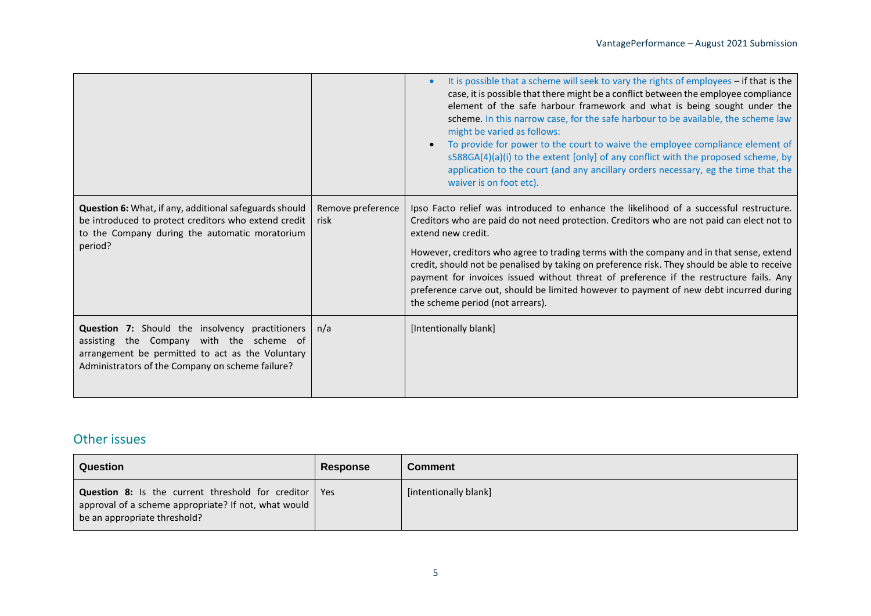|                                                                                                                                                                                                            |                           | It is possible that a scheme will seek to vary the rights of employees - if that is the<br>case, it is possible that there might be a conflict between the employee compliance<br>element of the safe harbour framework and what is being sought under the<br>scheme. In this narrow case, for the safe harbour to be available, the scheme law<br>might be varied as follows:<br>To provide for power to the court to waive the employee compliance element of<br>s588GA(4)(a)(i) to the extent [only] of any conflict with the proposed scheme, by<br>application to the court (and any ancillary orders necessary, eg the time that the<br>waiver is on foot etc). |
|------------------------------------------------------------------------------------------------------------------------------------------------------------------------------------------------------------|---------------------------|-----------------------------------------------------------------------------------------------------------------------------------------------------------------------------------------------------------------------------------------------------------------------------------------------------------------------------------------------------------------------------------------------------------------------------------------------------------------------------------------------------------------------------------------------------------------------------------------------------------------------------------------------------------------------|
| <b>Question 6:</b> What, if any, additional safeguards should<br>be introduced to protect creditors who extend credit<br>to the Company during the automatic moratorium<br>period?                         | Remove preference<br>risk | Ipso Facto relief was introduced to enhance the likelihood of a successful restructure.<br>Creditors who are paid do not need protection. Creditors who are not paid can elect not to<br>extend new credit.<br>However, creditors who agree to trading terms with the company and in that sense, extend<br>credit, should not be penalised by taking on preference risk. They should be able to receive<br>payment for invoices issued without threat of preference if the restructure fails. Any<br>preference carve out, should be limited however to payment of new debt incurred during<br>the scheme period (not arrears).                                       |
| <b>Question 7:</b> Should the insolvency practitioners<br>assisting the Company with the scheme of<br>arrangement be permitted to act as the Voluntary<br>Administrators of the Company on scheme failure? | n/a                       | [Intentionally blank]                                                                                                                                                                                                                                                                                                                                                                                                                                                                                                                                                                                                                                                 |

### Other issues

| Question                                                                                                                                                       | <b>Response</b> | <b>Comment</b>        |
|----------------------------------------------------------------------------------------------------------------------------------------------------------------|-----------------|-----------------------|
| <b>Question 8:</b> Is the current threshold for creditor   Yes<br>approval of a scheme appropriate? If not, what would $\vert$<br>be an appropriate threshold? |                 | [intentionally blank] |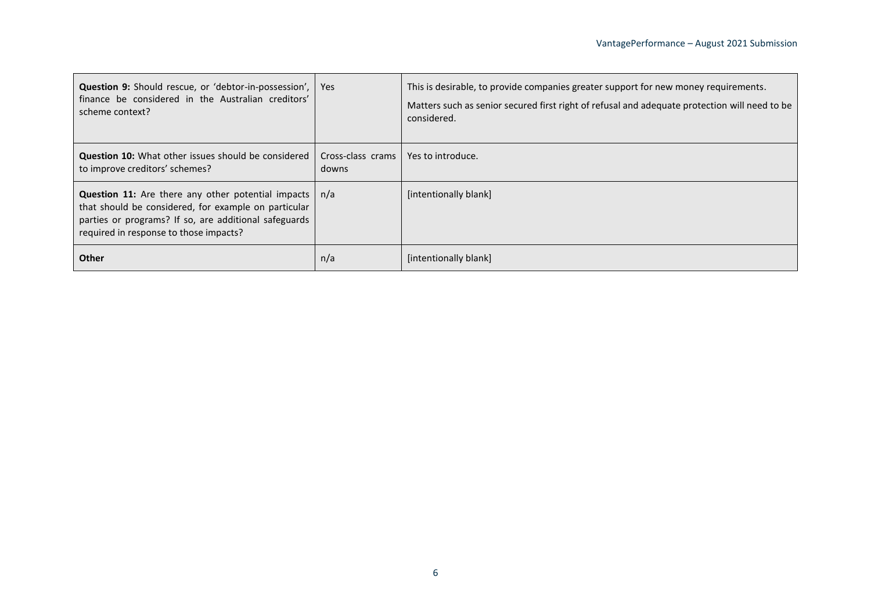| <b>Question 9:</b> Should rescue, or 'debtor-in-possession',  <br>finance be considered in the Australian creditors'<br>scheme context?                                                                                      | <b>Yes</b>                 | This is desirable, to provide companies greater support for new money requirements.<br>Matters such as senior secured first right of refusal and adequate protection will need to be<br>considered. |
|------------------------------------------------------------------------------------------------------------------------------------------------------------------------------------------------------------------------------|----------------------------|-----------------------------------------------------------------------------------------------------------------------------------------------------------------------------------------------------|
| <b>Question 10:</b> What other issues should be considered<br>to improve creditors' schemes?                                                                                                                                 | Cross-class crams<br>downs | Yes to introduce.                                                                                                                                                                                   |
| <b>Question 11:</b> Are there any other potential impacts $ n/a $<br>that should be considered, for example on particular<br>parties or programs? If so, are additional safeguards<br>required in response to those impacts? |                            | [intentionally blank]                                                                                                                                                                               |
| <b>Other</b>                                                                                                                                                                                                                 | n/a                        | [intentionally blank]                                                                                                                                                                               |